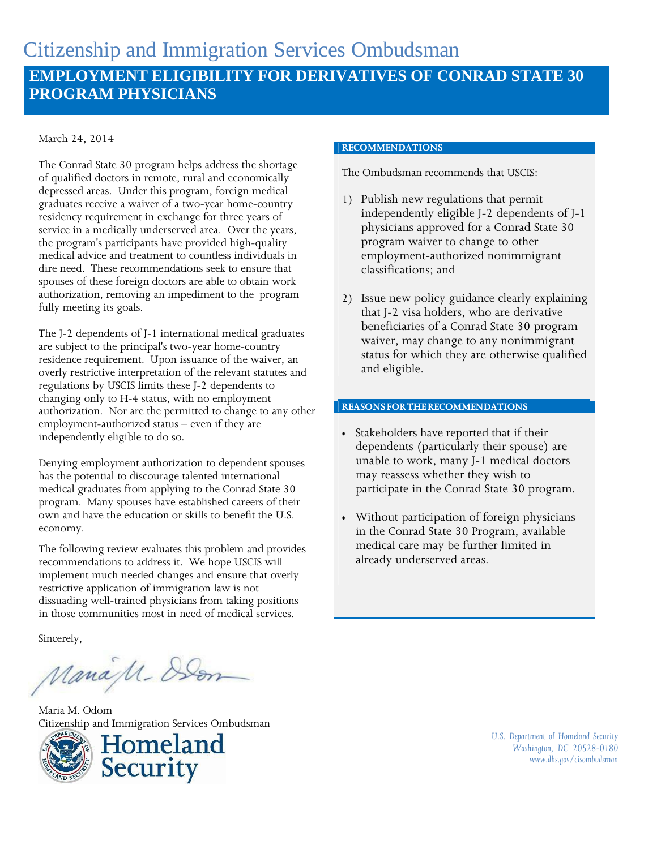#### March 24, 2014

The Conrad State 30 program helps address the shortage of qualified doctors in remote, rural and economically depressed areas. Under this program, foreign medical graduates receive a waiver of a two-year home-country residency requirement in exchange for three years of service in a medically underserved area. Over the years, the program's participants have provided high-quality medical advice and treatment to countless individuals in dire need. These recommendations seek to ensure that spouses of these foreign doctors are able to obtain work authorization, removing an impediment to the program fully meeting its goals.

The J-2 dependents of J-1 international medical graduates are subject to the principal's two-year home-country residence requirement. Upon issuance of the waiver, an overly restrictive interpretation of the relevant statutes and regulations by USCIS limits these J-2 dependents to changing only to H-4 status, with no employment authorization. Nor are the permitted to change to any other employment-authorized status – even if they are independently eligible to do so.

Denying employment authorization to dependent spouses has the potential to discourage talented international medical graduates from applying to the Conrad State 30 program. Many spouses have established careers of their own and have the education or skills to benefit the U.S. economy.

The following review evaluates this problem and provides recommendations to address it. We hope USCIS will implement much needed changes and ensure that overly restrictive application of immigration law is not dissuading well-trained physicians from taking positions in those communities most in need of medical services.

Sincerely,

ManaM-Den

Maria M. Odom Citizenship and Immigration Services Ombudsman





#### **RECOMMENDATIONS**

The Ombudsman recommends that USCIS:

- 1) Publish new regulations that permit independently eligible J-2 dependents of J-1 physicians approved for a Conrad State 30 program waiver to change to other employment-authorized nonimmigrant classifications; and
- 2) Issue new policy guidance clearly explaining that J-2 visa holders, who are derivative beneficiaries of a Conrad State 30 program waiver, may change to any nonimmigrant status for which they are otherwise qualified and eligible.

#### **REASONSFORTHERECOMMENDATIONS**

- Stakeholders have reported that if their dependents (particularly their spouse) are unable to work, many J-1 medical doctors may reassess whether they wish to participate in the Conrad State 30 program.
- Without participation of foreign physicians in the Conrad State 30 Program, available medical care may be further limited in already underserved areas.

*U.S. Department of Homeland Security Washington, DC 20528-0180 [www.dhs.gov/cisombudsman](http://www.dhs.gov/cisombudsman)*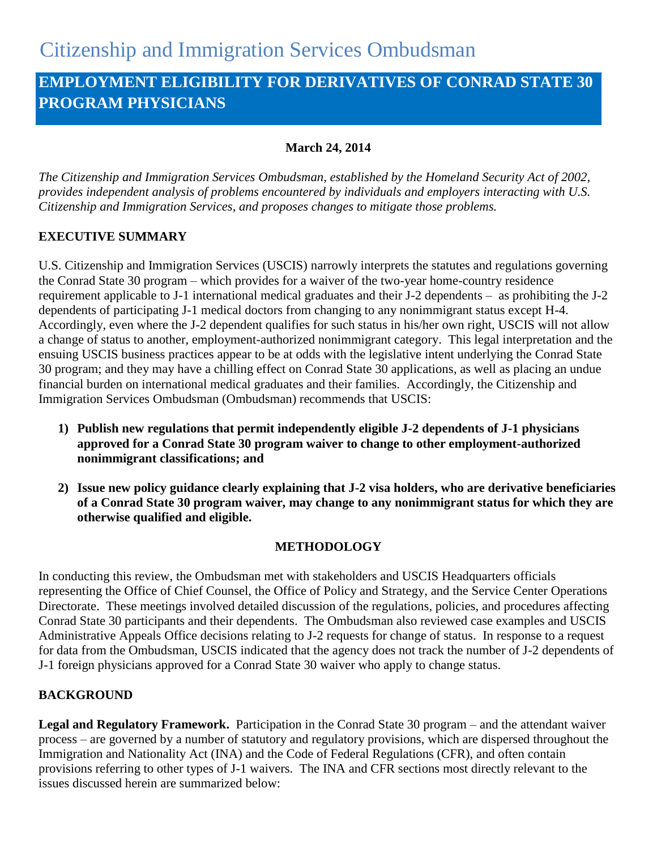# **EMPLOYMENT ELIGIBILITY FOR DERIVATIVES OF CONRAD STATE 30 PROGRAM PHYSICIANS**

## **March 24, 2014**

*The Citizenship and Immigration Services Ombudsman, established by the Homeland Security Act of 2002, provides independent analysis of problems encountered by individuals and employers interacting with U.S. Citizenship and Immigration Services, and proposes changes to mitigate those problems.*

# **EXECUTIVE SUMMARY**

U.S. Citizenship and Immigration Services (USCIS) narrowly interprets the statutes and regulations governing the Conrad State 30 program – which provides for a waiver of the two-year home-country residence requirement applicable to J-1 international medical graduates and their J-2 dependents – as prohibiting the J-2 dependents of participating J-1 medical doctors from changing to any nonimmigrant status except H-4. Accordingly, even where the J-2 dependent qualifies for such status in his/her own right, USCIS will not allow a change of status to another, employment-authorized nonimmigrant category. This legal interpretation and the ensuing USCIS business practices appear to be at odds with the legislative intent underlying the Conrad State 30 program; and they may have a chilling effect on Conrad State 30 applications, as well as placing an undue financial burden on international medical graduates and their families. Accordingly, the Citizenship and Immigration Services Ombudsman (Ombudsman) recommends that USCIS:

- **1) Publish new regulations that permit independently eligible J-2 dependents of J-1 physicians approved for a Conrad State 30 program waiver to change to other employment-authorized nonimmigrant classifications; and**
- **2) Issue new policy guidance clearly explaining that J-2 visa holders, who are derivative beneficiaries of a Conrad State 30 program waiver, may change to any nonimmigrant status for which they are otherwise qualified and eligible.**

## **METHODOLOGY**

In conducting this review, the Ombudsman met with stakeholders and USCIS Headquarters officials representing the Office of Chief Counsel, the Office of Policy and Strategy, and the Service Center Operations Directorate. These meetings involved detailed discussion of the regulations, policies, and procedures affecting Conrad State 30 participants and their dependents. The Ombudsman also reviewed case examples and USCIS Administrative Appeals Office decisions relating to J-2 requests for change of status. In response to a request for data from the Ombudsman, USCIS indicated that the agency does not track the number of J-2 dependents of J-1 foreign physicians approved for a Conrad State 30 waiver who apply to change status.

## **BACKGROUND**

**Legal and Regulatory Framework.** Participation in the Conrad State 30 program – and the attendant waiver process – are governed by a number of statutory and regulatory provisions, which are dispersed throughout the Immigration and Nationality Act (INA) and the Code of Federal Regulations (CFR), and often contain provisions referring to other types of J-1 waivers. The INA and CFR sections most directly relevant to the issues discussed herein are summarized below: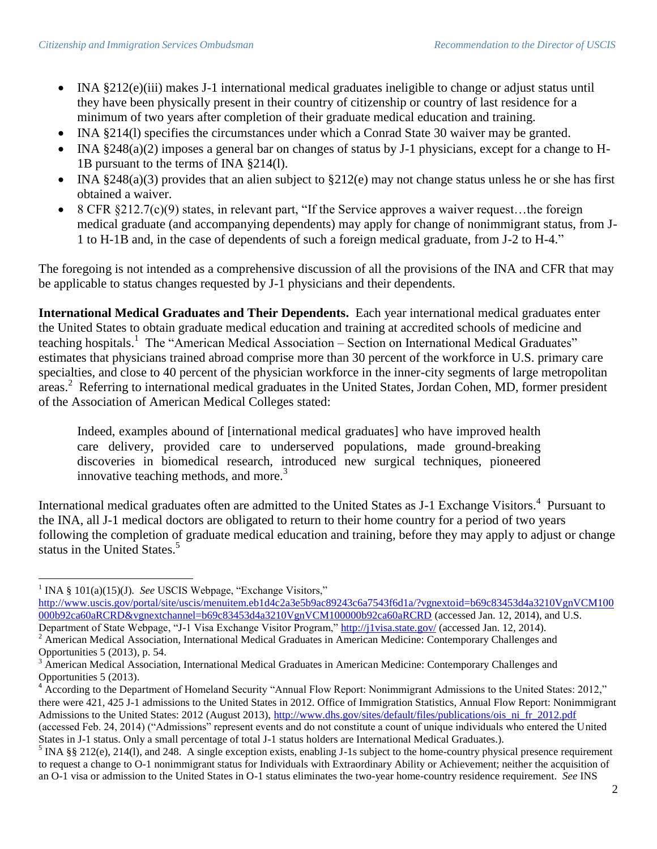- INA §212(e)(iii) makes J-1 international medical graduates ineligible to change or adjust status until they have been physically present in their country of citizenship or country of last residence for a minimum of two years after completion of their graduate medical education and training.
- INA §214(l) specifies the circumstances under which a Conrad State 30 waiver may be granted.
- INA §248(a)(2) imposes a general bar on changes of status by J-1 physicians, except for a change to H-1B pursuant to the terms of INA §214(l).
- INA  $\S 248(a)(3)$  provides that an alien subject to  $\S 212(e)$  may not change status unless he or she has first obtained a waiver.
- 8 CFR §212.7(c)(9) states, in relevant part, "If the Service approves a waiver request...the foreign medical graduate (and accompanying dependents) may apply for change of nonimmigrant status, from J-1 to H-1B and, in the case of dependents of such a foreign medical graduate, from J-2 to H-4."

The foregoing is not intended as a comprehensive discussion of all the provisions of the INA and CFR that may be applicable to status changes requested by J-1 physicians and their dependents.

**International Medical Graduates and Their Dependents.** Each year international medical graduates enter the United States to obtain graduate medical education and training at accredited schools of medicine and teaching hospitals.<sup>1</sup> The "American Medical Association – Section on International Medical Graduates" estimates that physicians trained abroad comprise more than 30 percent of the workforce in U.S. primary care specialties, and close to 40 percent of the physician workforce in the inner-city segments of large metropolitan areas.<sup>2</sup> Referring to international medical graduates in the United States, Jordan Cohen, MD, former president of the Association of American Medical Colleges stated:

Indeed, examples abound of [international medical graduates] who have improved health care delivery, provided care to underserved populations, made ground-breaking discoveries in biomedical research, introduced new surgical techniques, pioneered innovative teaching methods, and more. $3$ 

International medical graduates often are admitted to the United States as J-1 Exchange Visitors.<sup>4</sup> Pursuant to the INA, all J-1 medical doctors are obligated to return to their home country for a period of two years following the completion of graduate medical education and training, before they may apply to adjust or change status in the United States.<sup>5</sup>

l <sup>1</sup> INA § 101(a)(15)(J). *See* USCIS Webpage, "Exchange Visitors,"

[http://www.uscis.gov/portal/site/uscis/menuitem.eb1d4c2a3e5b9ac89243c6a7543f6d1a/?vgnextoid=b69c83453d4a3210VgnVCM100](http://www.uscis.gov/portal/site/uscis/menuitem.eb1d4c2a3e5b9ac89243c6a7543f6d1a/?vgnextoid=b69c83453d4a3210VgnVCM100000b92ca60aRCRD&vgnextchannel=b69c83453d4a3210VgnVCM100000b92ca60aRCRD) [000b92ca60aRCRD&vgnextchannel=b69c83453d4a3210VgnVCM100000b92ca60aRCRD](http://www.uscis.gov/portal/site/uscis/menuitem.eb1d4c2a3e5b9ac89243c6a7543f6d1a/?vgnextoid=b69c83453d4a3210VgnVCM100000b92ca60aRCRD&vgnextchannel=b69c83453d4a3210VgnVCM100000b92ca60aRCRD) (accessed Jan. 12, 2014), and U.S. Department of State Webpage, "J-1 Visa Exchange Visitor Program,"<http://j1visa.state.gov/> (accessed Jan. 12, 2014).

<sup>&</sup>lt;sup>2</sup> American Medical Association, International Medical Graduates in American Medicine: Contemporary Challenges and Opportunities 5 (2013), p. 54.

<sup>3</sup> American Medical Association, International Medical Graduates in American Medicine: Contemporary Challenges and Opportunities 5 (2013).

<sup>&</sup>lt;sup>4</sup> According to the Department of Homeland Security "Annual Flow Report: Nonimmigrant Admissions to the United States: 2012," there were 421, 425 J-1 admissions to the United States in 2012. Office of Immigration Statistics, Annual Flow Report: Nonimmigrant Admissions to the United States: 2012 (August 2013), [http://www.dhs.gov/sites/default/files/publications/ois\\_ni\\_fr\\_2012.pdf](http://www.dhs.gov/sites/default/files/publications/ois_ni_fr_2012.pdf)

<sup>(</sup>accessed Feb. 24, 2014) ("Admissions" represent events and do not constitute a count of unique individuals who entered the United States in J-1 status. Only a small percentage of total J-1 status holders are International Medical Graduates.).

<sup>&</sup>lt;sup>5</sup> INA §§ 212(e), 214(1), and 248. A single exception exists, enabling J-1s subject to the home-country physical presence requirement to request a change to O-1 nonimmigrant status for Individuals with Extraordinary Ability or Achievement; neither the acquisition of an O-1 visa or admission to the United States in O-1 status eliminates the two-year home-country residence requirement. *See* INS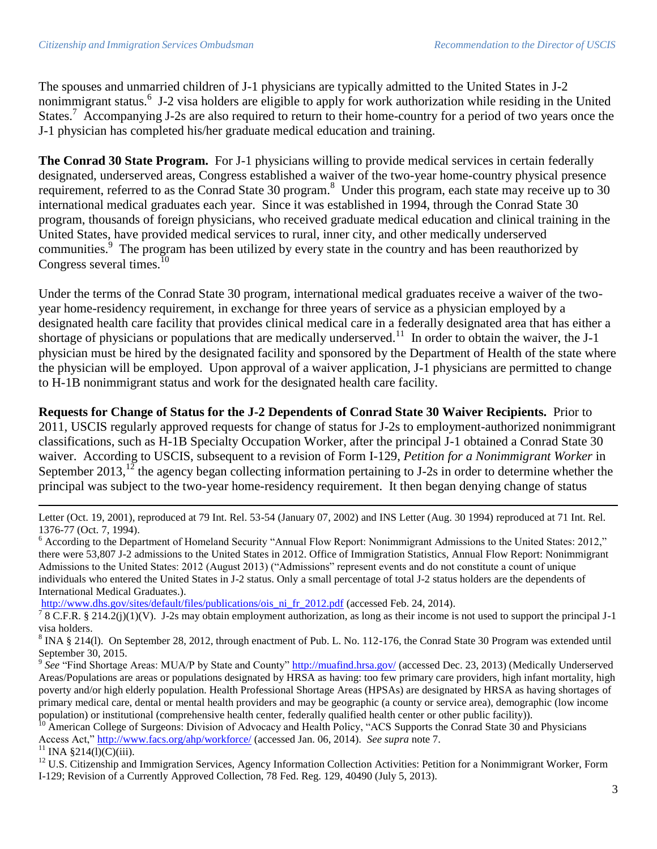The spouses and unmarried children of J-1 physicians are typically admitted to the United States in J-2 nonimmigrant status.<sup>6</sup> J-2 visa holders are eligible to apply for work authorization while residing in the United States.<sup>7</sup> Accompanying J-2s are also required to return to their home-country for a period of two years once the J-1 physician has completed his/her graduate medical education and training.

**The Conrad 30 State Program.** For J-1 physicians willing to provide medical services in certain federally designated, underserved areas, Congress established a waiver of the two-year home-country physical presence requirement, referred to as the Conrad State 30 program.<sup>8</sup> Under this program, each state may receive up to 30 international medical graduates each year. Since it was established in 1994, through the Conrad State 30 program, thousands of foreign physicians, who received graduate medical education and clinical training in the United States, have provided medical services to rural, inner city, and other medically underserved communities. <sup>9</sup> The program has been utilized by every state in the country and has been reauthorized by Congress several times.<sup>10</sup>

Under the terms of the Conrad State 30 program, international medical graduates receive a waiver of the twoyear home-residency requirement, in exchange for three years of service as a physician employed by a designated health care facility that provides clinical medical care in a federally designated area that has either a shortage of physicians or populations that are medically underserved.<sup>11</sup> In order to obtain the waiver, the J-1 physician must be hired by the designated facility and sponsored by the Department of Health of the state where the physician will be employed. Upon approval of a waiver application, J-1 physicians are permitted to change to H-1B nonimmigrant status and work for the designated health care facility.

**Requests for Change of Status for the J-2 Dependents of Conrad State 30 Waiver Recipients.** Prior to 2011, USCIS regularly approved requests for change of status for J-2s to employment-authorized nonimmigrant classifications, such as H-1B Specialty Occupation Worker, after the principal J-1 obtained a Conrad State 30 waiver. According to USCIS, subsequent to a revision of Form I-129, *Petition for a Nonimmigrant Worker* in September 2013,<sup>12</sup> the agency began collecting information pertaining to J-2s in order to determine whether the principal was subject to the two-year home-residency requirement. It then began denying change of status

[http://www.dhs.gov/sites/default/files/publications/ois\\_ni\\_fr\\_2012.pdf](http://www.dhs.gov/sites/default/files/publications/ois_ni_fr_2012.pdf) (accessed Feb. 24, 2014).

<sup>7</sup> 8 C.F.R. § 214.2(j)(1)(V). J-2s may obtain employment authorization, as long as their income is not used to support the principal J-1 visa holders.

 $8 \text{ INA} \text{§ } 214(1)$ . On September 28, 2012, through enactment of Pub. L. No. 112-176, the Conrad State 30 Program was extended until September 30, 2015.

<sup>9</sup> See "Find Shortage Areas: MUA/P by State and County"<http://muafind.hrsa.gov/> (accessed Dec. 23, 2013) (Medically Underserved Areas/Populations are areas or populations designated by HRSA as having: too few primary care providers, high infant mortality, high poverty and/or high elderly population. Health Professional Shortage Areas (HPSAs) are designated by HRSA as having shortages of primary medical care, dental or mental health providers and may be geographic (a county or service area), demographic (low income population) or institutional (comprehensive health center, federally qualified health center or other public facility)).

American College of Surgeons: Division of Advocacy and Health Policy, "ACS Supports the Conrad State 30 and Physicians Access Act,[" http://www.facs.org/ahp/workforce/](http://www.facs.org/ahp/workforce/) (accessed Jan. 06, 2014). *See supra* note 7.

<sup>11</sup> INA §214(l)(C)(iii).

 $\overline{a}$ 

<sup>12</sup> U.S. Citizenship and Immigration Services, Agency Information Collection Activities: Petition for a Nonimmigrant Worker, Form I-129; Revision of a Currently Approved Collection, 78 Fed. Reg. 129, 40490 (July 5, 2013).

Letter (Oct. 19, 2001), reproduced at 79 Int. Rel. 53-54 (January 07, 2002) and INS Letter (Aug. 30 1994) reproduced at 71 Int. Rel. 1376-77 (Oct. 7, 1994).

<sup>&</sup>lt;sup>6</sup> According to the Department of Homeland Security "Annual Flow Report: Nonimmigrant Admissions to the United States: 2012," there were 53,807 J-2 admissions to the United States in 2012. Office of Immigration Statistics, Annual Flow Report: Nonimmigrant Admissions to the United States: 2012 (August 2013) ("Admissions" represent events and do not constitute a count of unique individuals who entered the United States in J-2 status. Only a small percentage of total J-2 status holders are the dependents of International Medical Graduates.).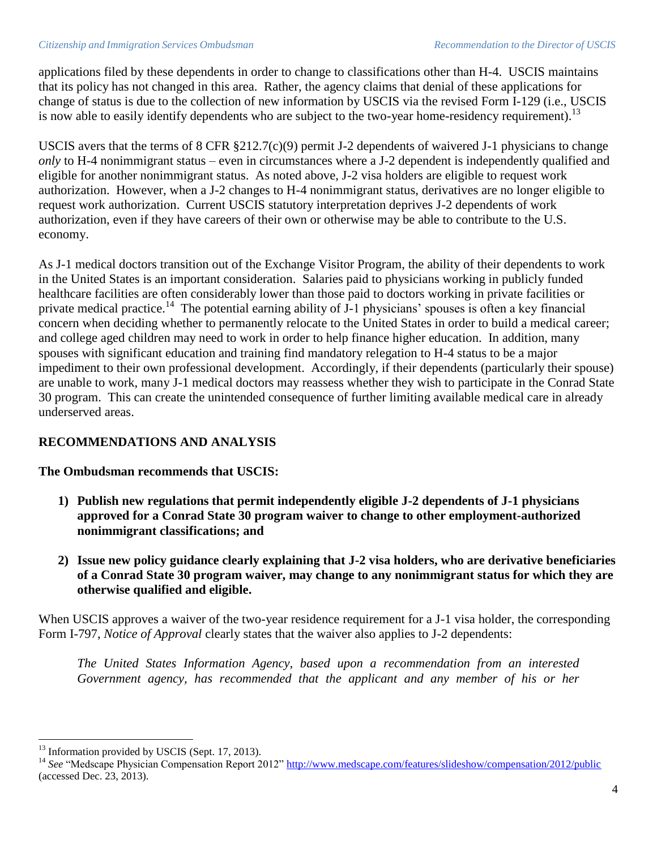#### *Citizenship and Immigration Services Ombudsman Recommendation to the Director of USCIS*

applications filed by these dependents in order to change to classifications other than H-4. USCIS maintains that its policy has not changed in this area. Rather, the agency claims that denial of these applications for change of status is due to the collection of new information by USCIS via the revised Form I-129 (i.e., USCIS is now able to easily identify dependents who are subject to the two-year home-residency requirement).<sup>13</sup>

USCIS avers that the terms of 8 CFR §212.7(c)(9) permit J-2 dependents of waivered J-1 physicians to change *only* to H-4 nonimmigrant status – even in circumstances where a J-2 dependent is independently qualified and eligible for another nonimmigrant status. As noted above, J-2 visa holders are eligible to request work authorization. However, when a J-2 changes to H-4 nonimmigrant status, derivatives are no longer eligible to request work authorization. Current USCIS statutory interpretation deprives J-2 dependents of work authorization, even if they have careers of their own or otherwise may be able to contribute to the U.S. economy.

As J-1 medical doctors transition out of the Exchange Visitor Program, the ability of their dependents to work in the United States is an important consideration. Salaries paid to physicians working in publicly funded healthcare facilities are often considerably lower than those paid to doctors working in private facilities or private medical practice.<sup>14</sup> The potential earning ability of J-1 physicians' spouses is often a key financial concern when deciding whether to permanently relocate to the United States in order to build a medical career; and college aged children may need to work in order to help finance higher education. In addition, many spouses with significant education and training find mandatory relegation to H-4 status to be a major impediment to their own professional development. Accordingly, if their dependents (particularly their spouse) are unable to work, many J-1 medical doctors may reassess whether they wish to participate in the Conrad State 30 program. This can create the unintended consequence of further limiting available medical care in already underserved areas.

### **RECOMMENDATIONS AND ANALYSIS**

**The Ombudsman recommends that USCIS:**

- **1) Publish new regulations that permit independently eligible J-2 dependents of J-1 physicians approved for a Conrad State 30 program waiver to change to other employment-authorized nonimmigrant classifications; and**
- **2) Issue new policy guidance clearly explaining that J-2 visa holders, who are derivative beneficiaries of a Conrad State 30 program waiver, may change to any nonimmigrant status for which they are otherwise qualified and eligible.**

When USCIS approves a waiver of the two-year residence requirement for a J-1 visa holder, the corresponding Form I-797, *Notice of Approval* clearly states that the waiver also applies to J-2 dependents:

*The United States Information Agency, based upon a recommendation from an interested Government agency, has recommended that the applicant and any member of his or her* 

 $\overline{\phantom{a}}$  $13$  Information provided by USCIS (Sept. 17, 2013).

<sup>&</sup>lt;sup>14</sup> See "Medscape Physician Compensation Report 2012"<http://www.medscape.com/features/slideshow/compensation/2012/public> (accessed Dec. 23, 2013).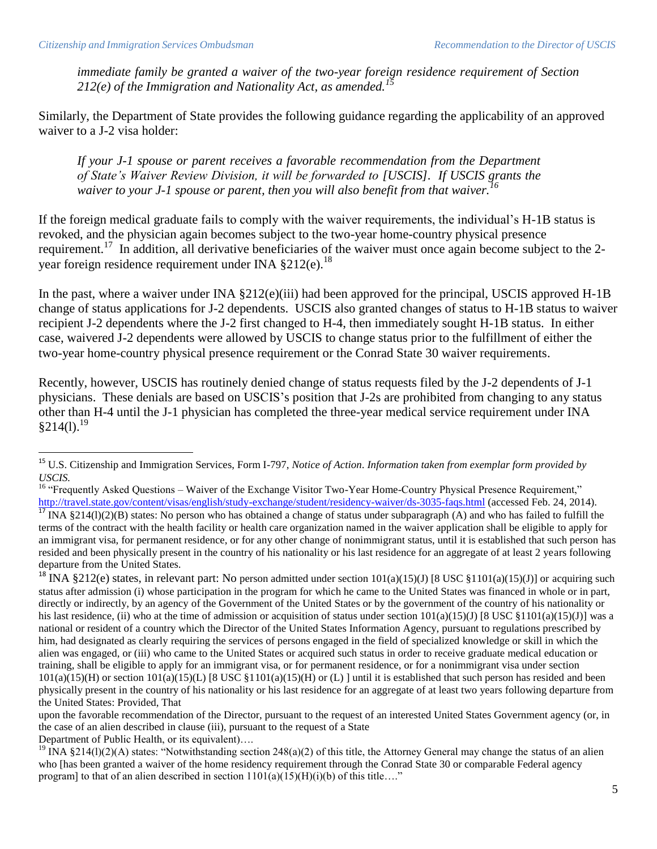*immediate family be granted a waiver of the two-year foreign residence requirement of Section 212(e) of the Immigration and Nationality Act, as amended.<sup>15</sup>*

Similarly, the Department of State provides the following guidance regarding the applicability of an approved waiver to a J-2 visa holder:

*If your J-1 spouse or parent receives a favorable recommendation from the Department of State's Waiver Review Division, it will be forwarded to [USCIS]. If USCIS grants the waiver to your J-1 spouse or parent, then you will also benefit from that waiver.<sup>16</sup>*

If the foreign medical graduate fails to comply with the waiver requirements, the individual's H-1B status is revoked, and the physician again becomes subject to the two-year home-country physical presence requirement.<sup>17</sup> In addition, all derivative beneficiaries of the waiver must once again become subject to the 2year foreign residence requirement under INA  $$212(e).$ <sup>18</sup>

In the past, where a waiver under INA §212(e)(iii) had been approved for the principal, USCIS approved H-1B change of status applications for J-2 dependents. USCIS also granted changes of status to H-1B status to waiver recipient J-2 dependents where the J-2 first changed to H-4, then immediately sought H-1B status. In either case, waivered J-2 dependents were allowed by USCIS to change status prior to the fulfillment of either the two-year home-country physical presence requirement or the Conrad State 30 waiver requirements.

Recently, however, USCIS has routinely denied change of status requests filed by the J-2 dependents of J-1 physicians. These denials are based on USCIS's position that J-2s are prohibited from changing to any status other than H-4 until the J-1 physician has completed the three-year medical service requirement under INA  $§214(1).^{19}$ 

Department of Public Health, or its equivalent)….

l

<sup>15</sup> U.S. Citizenship and Immigration Services, Form I-797, *Notice of Action*. *Information taken from exemplar form provided by USCIS.*

<sup>&</sup>lt;sup>16</sup> "Frequently Asked Questions – Waiver of the Exchange Visitor Two-Year Home-Country Physical Presence Requirement," <http://travel.state.gov/content/visas/english/study-exchange/student/residency-waiver/ds-3035-faqs.html> (accessed Feb. 24, 2014).

 $^{17}$  INA §214(1)(2)(B) states: No person who has obtained a change of status under subparagraph (A) and who has failed to fulfill the terms of the contract with the health facility or health care organization named in the waiver application shall be eligible to apply for an immigrant visa, for permanent residence, or for any other change of nonimmigrant status, until it is established that such person has resided and been physically present in the country of his nationality or his last residence for an aggregate of at least 2 years following departure from the United States.

<sup>&</sup>lt;sup>18</sup> INA §212(e) states, in relevant part: No person admitted under section  $101(a)(15)(J)$  [8 USC §1101(a)(15)(J)] or acquiring such status after admission (i) whose participation in the program for which he came to the United States was financed in whole or in part, directly or indirectly, by an agency of the Government of the United States or by the government of the country of his nationality or his last residence, (ii) who at the time of admission or acquisition of status under section  $101(a)(15)(J)$  [8 USC §1101(a)(15)(J)] was a national or resident of a country which the Director of the United States Information Agency, pursuant to regulations prescribed by him, had designated as clearly requiring the services of persons engaged in the field of specialized knowledge or skill in which the alien was engaged, or (iii) who came to the United States or acquired such status in order to receive graduate medical education or training, shall be eligible to apply for an immigrant visa, or for permanent residence, or for a nonimmigrant visa under section  $101(a)(15)(H)$  or section  $101(a)(15)(L)$  [8 USC §1101(a)(15)(H) or (L) ] until it is established that such person has resided and been physically present in the country of his nationality or his last residence for an aggregate of at least two years following departure from the United States: Provided, That

upon the favorable recommendation of the Director, pursuant to the request of an interested United States Government agency (or, in the case of an alien described in clause (iii), pursuant to the request of a State

<sup>&</sup>lt;sup>19</sup> INA §214(1)(2)(A) states: "Notwithstanding section 248(a)(2) of this title, the Attorney General may change the status of an alien who [has been granted a waiver of the home residency requirement through the Conrad State 30 or comparable Federal agency program] to that of an alien described in section  $1101(a)(15)(H)(i)(b)$  of this title...."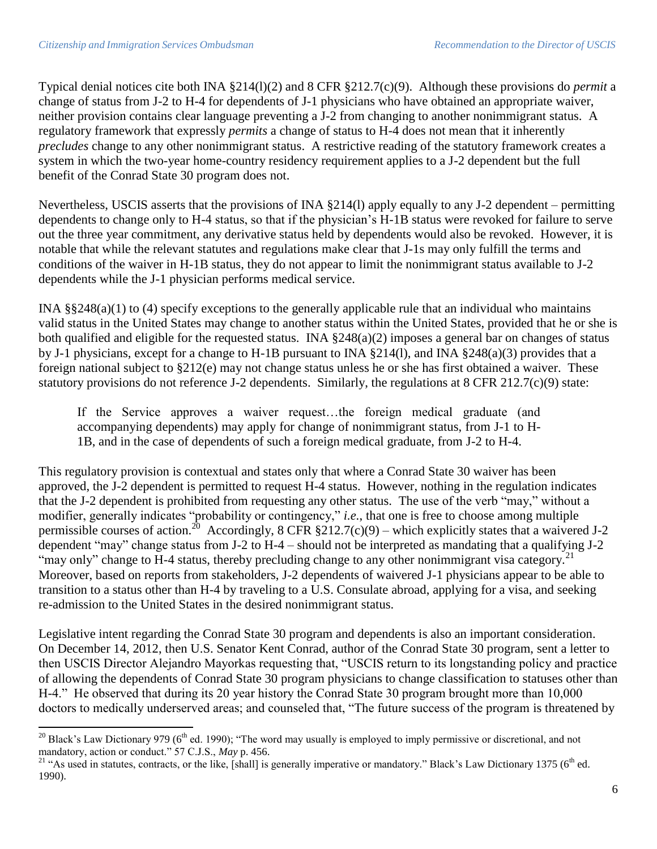Typical denial notices cite both INA §214(l)(2) and 8 CFR §212.7(c)(9). Although these provisions do *permit* a change of status from J-2 to H-4 for dependents of J-1 physicians who have obtained an appropriate waiver, neither provision contains clear language preventing a J-2 from changing to another nonimmigrant status. A regulatory framework that expressly *permits* a change of status to H-4 does not mean that it inherently *precludes* change to any other nonimmigrant status. A restrictive reading of the statutory framework creates a system in which the two-year home-country residency requirement applies to a J-2 dependent but the full benefit of the Conrad State 30 program does not.

Nevertheless, USCIS asserts that the provisions of INA §214(l) apply equally to any J-2 dependent – permitting dependents to change only to H-4 status, so that if the physician's H-1B status were revoked for failure to serve out the three year commitment, any derivative status held by dependents would also be revoked. However, it is notable that while the relevant statutes and regulations make clear that J-1s may only fulfill the terms and conditions of the waiver in H-1B status, they do not appear to limit the nonimmigrant status available to J-2 dependents while the J-1 physician performs medical service.

INA §§248(a)(1) to (4) specify exceptions to the generally applicable rule that an individual who maintains valid status in the United States may change to another status within the United States, provided that he or she is both qualified and eligible for the requested status. INA §248(a)(2) imposes a general bar on changes of status by J-1 physicians, except for a change to H-1B pursuant to INA §214(l), and INA §248(a)(3) provides that a foreign national subject to §212(e) may not change status unless he or she has first obtained a waiver. These statutory provisions do not reference J-2 dependents. Similarly, the regulations at 8 CFR 212.7(c)(9) state:

If the Service approves a waiver request…the foreign medical graduate (and accompanying dependents) may apply for change of nonimmigrant status, from J-1 to H-1B, and in the case of dependents of such a foreign medical graduate, from J-2 to H-4.

This regulatory provision is contextual and states only that where a Conrad State 30 waiver has been approved, the J-2 dependent is permitted to request H-4 status. However, nothing in the regulation indicates that the J-2 dependent is prohibited from requesting any other status. The use of the verb "may," without a modifier, generally indicates "probability or contingency," *i.e.*, that one is free to choose among multiple permissible courses of action.<sup>20</sup> Accordingly, 8 CFR  $\S212.7(c)(9)$  – which explicitly states that a waivered J-2 dependent "may" change status from J-2 to H-4 – should not be interpreted as mandating that a qualifying J-2 "may only" change to H-4 status, thereby precluding change to any other nonimmigrant visa category.<sup>21</sup> Moreover, based on reports from stakeholders, J-2 dependents of waivered J-1 physicians appear to be able to transition to a status other than H-4 by traveling to a U.S. Consulate abroad, applying for a visa, and seeking re-admission to the United States in the desired nonimmigrant status.

Legislative intent regarding the Conrad State 30 program and dependents is also an important consideration. On December 14, 2012, then U.S. Senator Kent Conrad, author of the Conrad State 30 program, sent a letter to then USCIS Director Alejandro Mayorkas requesting that, "USCIS return to its longstanding policy and practice of allowing the dependents of Conrad State 30 program physicians to change classification to statuses other than H-4." He observed that during its 20 year history the Conrad State 30 program brought more than 10,000 doctors to medically underserved areas; and counseled that, "The future success of the program is threatened by

 $\overline{\phantom{a}}$ <sup>20</sup> Black's Law Dictionary 979 ( $6<sup>th</sup>$  ed. 1990); "The word may usually is employed to imply permissive or discretional, and not mandatory, action or conduct." 57 C.J.S., *May* p. 456.

<sup>&</sup>lt;sup>21</sup> "As used in statutes, contracts, or the like, [shall] is generally imperative or mandatory." Black's Law Dictionary 1375 ( $6<sup>th</sup>$  ed. 1990).